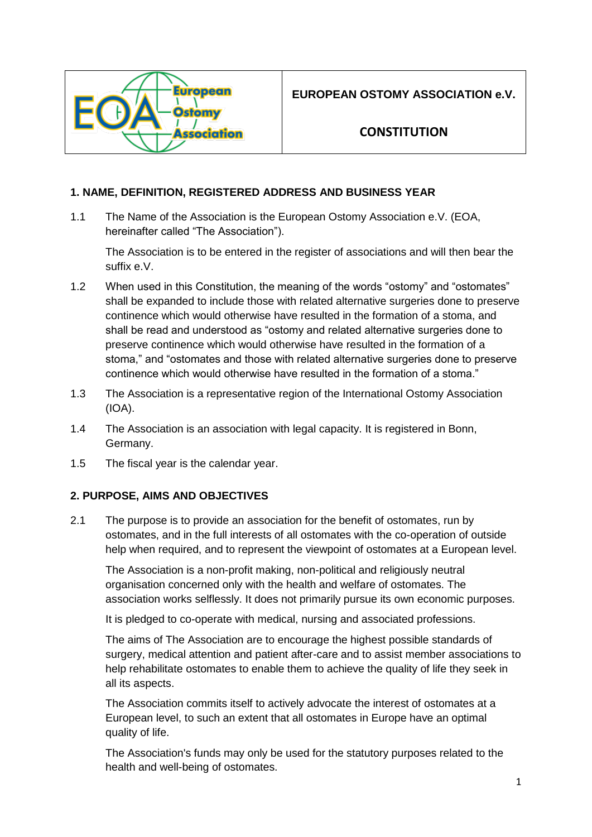

**EUROPEAN OSTOMY ASSOCIATION e.V.**

# **CONSTITUTION**

# **1. NAME, DEFINITION, REGISTERED ADDRESS AND BUSINESS YEAR**

1.1 The Name of the Association is the European Ostomy Association e.V. (EOA, hereinafter called "The Association").

The Association is to be entered in the register of associations and will then bear the suffix e.V.

- 1.2 When used in this Constitution, the meaning of the words "ostomy" and "ostomates" shall be expanded to include those with related alternative surgeries done to preserve continence which would otherwise have resulted in the formation of a stoma, and shall be read and understood as "ostomy and related alternative surgeries done to preserve continence which would otherwise have resulted in the formation of a stoma," and "ostomates and those with related alternative surgeries done to preserve continence which would otherwise have resulted in the formation of a stoma."
- 1.3 The Association is a representative region of the International Ostomy Association (IOA).
- 1.4 The Association is an association with legal capacity. It is registered in Bonn, Germany.
- 1.5 The fiscal year is the calendar year.

### **2. PURPOSE, AIMS AND OBJECTIVES**

2.1 The purpose is to provide an association for the benefit of ostomates, run by ostomates, and in the full interests of all ostomates with the co-operation of outside help when required, and to represent the viewpoint of ostomates at a European level.

The Association is a non-profit making, non-political and religiously neutral organisation concerned only with the health and welfare of ostomates. The association works selflessly. It does not primarily pursue its own economic purposes.

It is pledged to co-operate with medical, nursing and associated professions.

The aims of The Association are to encourage the highest possible standards of surgery, medical attention and patient after-care and to assist member associations to help rehabilitate ostomates to enable them to achieve the quality of life they seek in all its aspects.

The Association commits itself to actively advocate the interest of ostomates at a European level, to such an extent that all ostomates in Europe have an optimal quality of life.

The Association's funds may only be used for the statutory purposes related to the health and well-being of ostomates.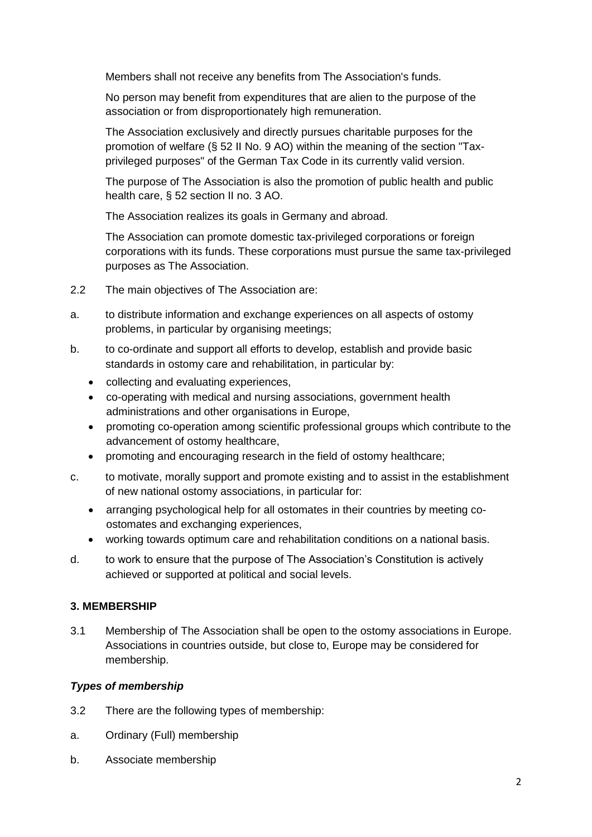Members shall not receive any benefits from The Association's funds.

No person may benefit from expenditures that are alien to the purpose of the association or from disproportionately high remuneration.

The Association exclusively and directly pursues charitable purposes for the promotion of welfare (§ 52 II No. 9 AO) within the meaning of the section "Taxprivileged purposes" of the German Tax Code in its currently valid version.

The purpose of The Association is also the promotion of public health and public health care, § 52 section II no. 3 AO.

The Association realizes its goals in Germany and abroad.

The Association can promote domestic tax-privileged corporations or foreign corporations with its funds. These corporations must pursue the same tax-privileged purposes as The Association.

- 2.2 The main objectives of The Association are:
- a. to distribute information and exchange experiences on all aspects of ostomy problems, in particular by organising meetings;
- b. to co-ordinate and support all efforts to develop, establish and provide basic standards in ostomy care and rehabilitation, in particular by:
	- collecting and evaluating experiences,
	- co-operating with medical and nursing associations, government health administrations and other organisations in Europe,
	- promoting co-operation among scientific professional groups which contribute to the advancement of ostomy healthcare,
	- promoting and encouraging research in the field of ostomy healthcare;
- c. to motivate, morally support and promote existing and to assist in the establishment of new national ostomy associations, in particular for:
	- arranging psychological help for all ostomates in their countries by meeting coostomates and exchanging experiences,
	- working towards optimum care and rehabilitation conditions on a national basis.
- d. to work to ensure that the purpose of The Association's Constitution is actively achieved or supported at political and social levels.

### **3. MEMBERSHIP**

3.1 Membership of The Association shall be open to the ostomy associations in Europe. Associations in countries outside, but close to, Europe may be considered for membership.

### *Types of membership*

- 3.2 There are the following types of membership:
- a. Ordinary (Full) membership
- b. Associate membership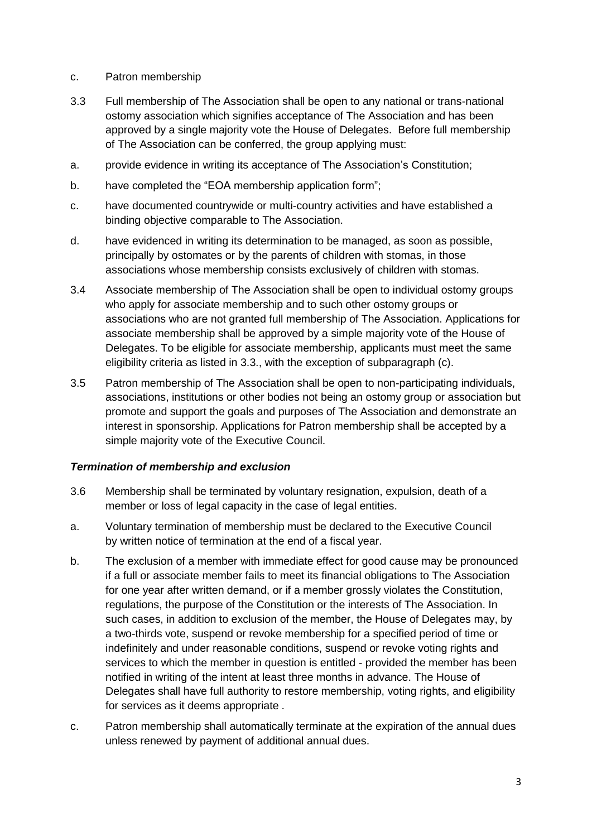- c. Patron membership
- 3.3 Full membership of The Association shall be open to any national or trans-national ostomy association which signifies acceptance of The Association and has been approved by a single majority vote the House of Delegates. Before full membership of The Association can be conferred, the group applying must:
- a. provide evidence in writing its acceptance of The Association's Constitution;
- b. have completed the "EOA membership application form";
- c. have documented countrywide or multi-country activities and have established a binding objective comparable to The Association.
- d. have evidenced in writing its determination to be managed, as soon as possible, principally by ostomates or by the parents of children with stomas, in those associations whose membership consists exclusively of children with stomas.
- 3.4 Associate membership of The Association shall be open to individual ostomy groups who apply for associate membership and to such other ostomy groups or associations who are not granted full membership of The Association. Applications for associate membership shall be approved by a simple majority vote of the House of Delegates. To be eligible for associate membership, applicants must meet the same eligibility criteria as listed in 3.3., with the exception of subparagraph (c).
- 3.5 Patron membership of The Association shall be open to non-participating individuals, associations, institutions or other bodies not being an ostomy group or association but promote and support the goals and purposes of The Association and demonstrate an interest in sponsorship. Applications for Patron membership shall be accepted by a simple majority vote of the Executive Council.

#### *Termination of membership and exclusion*

- 3.6 Membership shall be terminated by voluntary resignation, expulsion, death of a member or loss of legal capacity in the case of legal entities.
- a. Voluntary termination of membership must be declared to the Executive Council by written notice of termination at the end of a fiscal year.
- b. The exclusion of a member with immediate effect for good cause may be pronounced if a full or associate member fails to meet its financial obligations to The Association for one year after written demand, or if a member grossly violates the Constitution, regulations, the purpose of the Constitution or the interests of The Association. In such cases, in addition to exclusion of the member, the House of Delegates may, by a two-thirds vote, suspend or revoke membership for a specified period of time or indefinitely and under reasonable conditions, suspend or revoke voting rights and services to which the member in question is entitled - provided the member has been notified in writing of the intent at least three months in advance. The House of Delegates shall have full authority to restore membership, voting rights, and eligibility for services as it deems appropriate .
- c. Patron membership shall automatically terminate at the expiration of the annual dues unless renewed by payment of additional annual dues.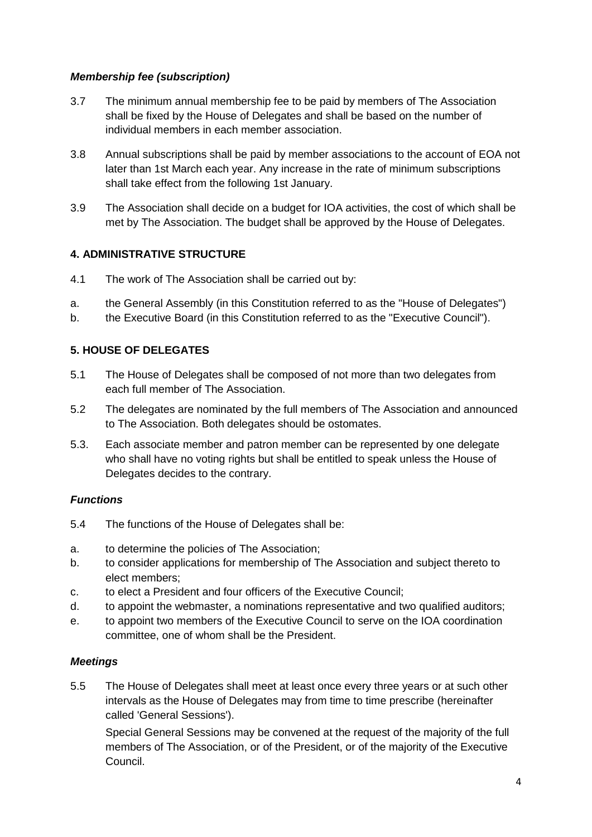### *Membership fee (subscription)*

- 3.7 The minimum annual membership fee to be paid by members of The Association shall be fixed by the House of Delegates and shall be based on the number of individual members in each member association.
- 3.8 Annual subscriptions shall be paid by member associations to the account of EOA not later than 1st March each year. Any increase in the rate of minimum subscriptions shall take effect from the following 1st January.
- 3.9 The Association shall decide on a budget for IOA activities, the cost of which shall be met by The Association. The budget shall be approved by the House of Delegates.

### **4. ADMINISTRATIVE STRUCTURE**

- 4.1 The work of The Association shall be carried out by:
- a. the General Assembly (in this Constitution referred to as the "House of Delegates")
- b. the Executive Board (in this Constitution referred to as the "Executive Council").

### **5. HOUSE OF DELEGATES**

- 5.1 The House of Delegates shall be composed of not more than two delegates from each full member of The Association.
- 5.2 The delegates are nominated by the full members of The Association and announced to The Association. Both delegates should be ostomates.
- 5.3. Each associate member and patron member can be represented by one delegate who shall have no voting rights but shall be entitled to speak unless the House of Delegates decides to the contrary.

### *Functions*

- 5.4 The functions of the House of Delegates shall be:
- a. to determine the policies of The Association;
- b. to consider applications for membership of The Association and subject thereto to elect members;
- c. to elect a President and four officers of the Executive Council;
- d. to appoint the webmaster, a nominations representative and two qualified auditors;
- e. to appoint two members of the Executive Council to serve on the IOA coordination committee, one of whom shall be the President.

### *Meetings*

5.5 The House of Delegates shall meet at least once every three years or at such other intervals as the House of Delegates may from time to time prescribe (hereinafter called 'General Sessions').

Special General Sessions may be convened at the request of the majority of the full members of The Association, or of the President, or of the majority of the Executive Council.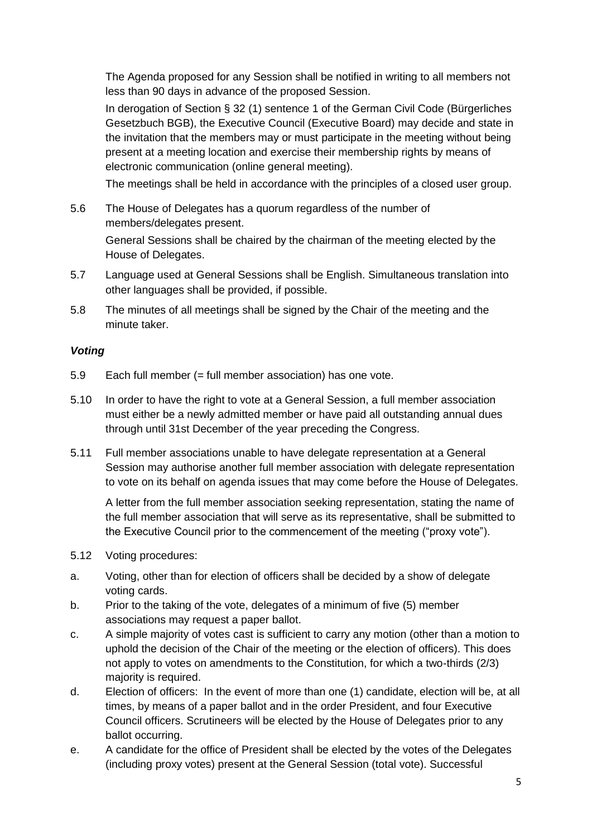The Agenda proposed for any Session shall be notified in writing to all members not less than 90 days in advance of the proposed Session.

In derogation of Section § 32 (1) sentence 1 of the German Civil Code (Bürgerliches Gesetzbuch BGB), the Executive Council (Executive Board) may decide and state in the invitation that the members may or must participate in the meeting without being present at a meeting location and exercise their membership rights by means of electronic communication (online general meeting).

The meetings shall be held in accordance with the principles of a closed user group.

5.6 The House of Delegates has a quorum regardless of the number of members/delegates present.

General Sessions shall be chaired by the chairman of the meeting elected by the House of Delegates.

- 5.7 Language used at General Sessions shall be English. Simultaneous translation into other languages shall be provided, if possible.
- 5.8 The minutes of all meetings shall be signed by the Chair of the meeting and the minute taker.

#### *Voting*

- 5.9 Each full member (= full member association) has one vote.
- 5.10 In order to have the right to vote at a General Session, a full member association must either be a newly admitted member or have paid all outstanding annual dues through until 31st December of the year preceding the Congress.
- 5.11 Full member associations unable to have delegate representation at a General Session may authorise another full member association with delegate representation to vote on its behalf on agenda issues that may come before the House of Delegates.

A letter from the full member association seeking representation, stating the name of the full member association that will serve as its representative, shall be submitted to the Executive Council prior to the commencement of the meeting ("proxy vote").

- 5.12 Voting procedures:
- a. Voting, other than for election of officers shall be decided by a show of delegate voting cards.
- b. Prior to the taking of the vote, delegates of a minimum of five (5) member associations may request a paper ballot.
- c. A simple majority of votes cast is sufficient to carry any motion (other than a motion to uphold the decision of the Chair of the meeting or the election of officers). This does not apply to votes on amendments to the Constitution, for which a two-thirds (2/3) majority is required.
- d. Election of officers: In the event of more than one (1) candidate, election will be, at all times, by means of a paper ballot and in the order President, and four Executive Council officers. Scrutineers will be elected by the House of Delegates prior to any ballot occurring.
- e. A candidate for the office of President shall be elected by the votes of the Delegates (including proxy votes) present at the General Session (total vote). Successful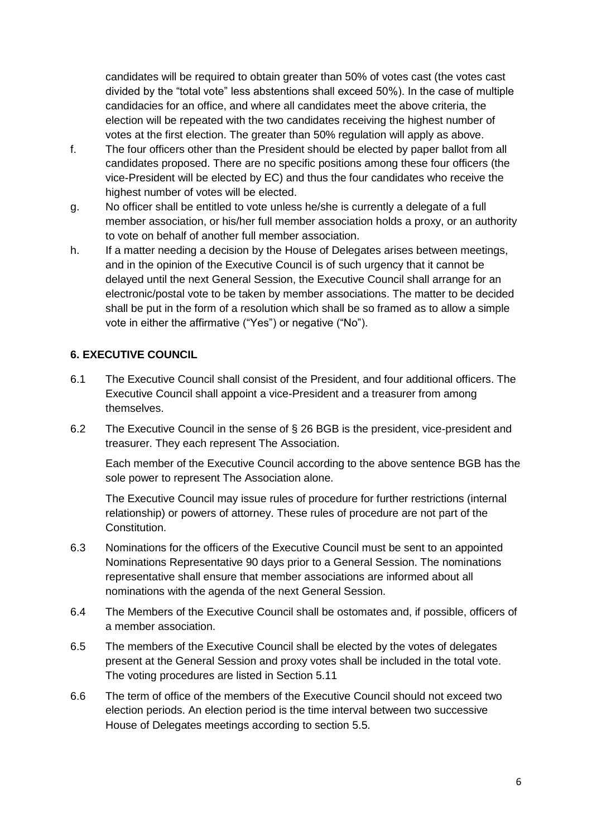candidates will be required to obtain greater than 50% of votes cast (the votes cast divided by the "total vote" less abstentions shall exceed 50%). In the case of multiple candidacies for an office, and where all candidates meet the above criteria, the election will be repeated with the two candidates receiving the highest number of votes at the first election. The greater than 50% regulation will apply as above.

- f. The four officers other than the President should be elected by paper ballot from all candidates proposed. There are no specific positions among these four officers (the vice-President will be elected by EC) and thus the four candidates who receive the highest number of votes will be elected.
- g. No officer shall be entitled to vote unless he/she is currently a delegate of a full member association, or his/her full member association holds a proxy, or an authority to vote on behalf of another full member association.
- h. If a matter needing a decision by the House of Delegates arises between meetings, and in the opinion of the Executive Council is of such urgency that it cannot be delayed until the next General Session, the Executive Council shall arrange for an electronic/postal vote to be taken by member associations. The matter to be decided shall be put in the form of a resolution which shall be so framed as to allow a simple vote in either the affirmative ("Yes") or negative ("No").

# **6. EXECUTIVE COUNCIL**

- 6.1 The Executive Council shall consist of the President, and four additional officers. The Executive Council shall appoint a vice-President and a treasurer from among themselves.
- 6.2 The Executive Council in the sense of § 26 BGB is the president, vice-president and treasurer. They each represent The Association.

Each member of the Executive Council according to the above sentence BGB has the sole power to represent The Association alone.

The Executive Council may issue rules of procedure for further restrictions (internal relationship) or powers of attorney. These rules of procedure are not part of the Constitution.

- 6.3 Nominations for the officers of the Executive Council must be sent to an appointed Nominations Representative 90 days prior to a General Session. The nominations representative shall ensure that member associations are informed about all nominations with the agenda of the next General Session.
- 6.4 The Members of the Executive Council shall be ostomates and, if possible, officers of a member association.
- 6.5 The members of the Executive Council shall be elected by the votes of delegates present at the General Session and proxy votes shall be included in the total vote. The voting procedures are listed in Section 5.11
- 6.6 The term of office of the members of the Executive Council should not exceed two election periods. An election period is the time interval between two successive House of Delegates meetings according to section 5.5.